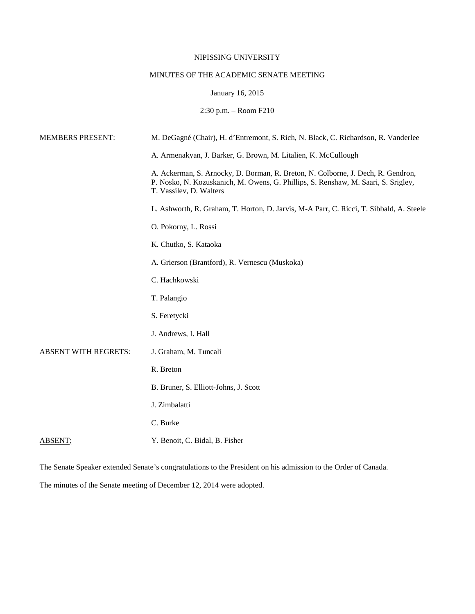## NIPISSING UNIVERSITY

# MINUTES OF THE ACADEMIC SENATE MEETING

## January 16, 2015

# 2:30 p.m. – Room F210

| <b>MEMBERS PRESENT:</b>     | M. DeGagné (Chair), H. d'Entremont, S. Rich, N. Black, C. Richardson, R. Vanderlee                                                                                                                |
|-----------------------------|---------------------------------------------------------------------------------------------------------------------------------------------------------------------------------------------------|
|                             | A. Armenakyan, J. Barker, G. Brown, M. Litalien, K. McCullough                                                                                                                                    |
|                             | A. Ackerman, S. Arnocky, D. Borman, R. Breton, N. Colborne, J. Dech, R. Gendron,<br>P. Nosko, N. Kozuskanich, M. Owens, G. Phillips, S. Renshaw, M. Saari, S. Srigley,<br>T. Vassilev, D. Walters |
|                             | L. Ashworth, R. Graham, T. Horton, D. Jarvis, M-A Parr, C. Ricci, T. Sibbald, A. Steele                                                                                                           |
|                             | O. Pokorny, L. Rossi                                                                                                                                                                              |
|                             | K. Chutko, S. Kataoka                                                                                                                                                                             |
|                             | A. Grierson (Brantford), R. Vernescu (Muskoka)                                                                                                                                                    |
|                             | C. Hachkowski                                                                                                                                                                                     |
|                             | T. Palangio                                                                                                                                                                                       |
|                             | S. Feretycki                                                                                                                                                                                      |
|                             | J. Andrews, I. Hall                                                                                                                                                                               |
| <b>ABSENT WITH REGRETS:</b> | J. Graham, M. Tuncali                                                                                                                                                                             |
|                             | R. Breton                                                                                                                                                                                         |
|                             | B. Bruner, S. Elliott-Johns, J. Scott                                                                                                                                                             |
|                             | J. Zimbalatti                                                                                                                                                                                     |
|                             | C. Burke                                                                                                                                                                                          |
| ABSENT:                     | Y. Benoit, C. Bidal, B. Fisher                                                                                                                                                                    |

The Senate Speaker extended Senate's congratulations to the President on his admission to the Order of Canada.

The minutes of the Senate meeting of December 12, 2014 were adopted.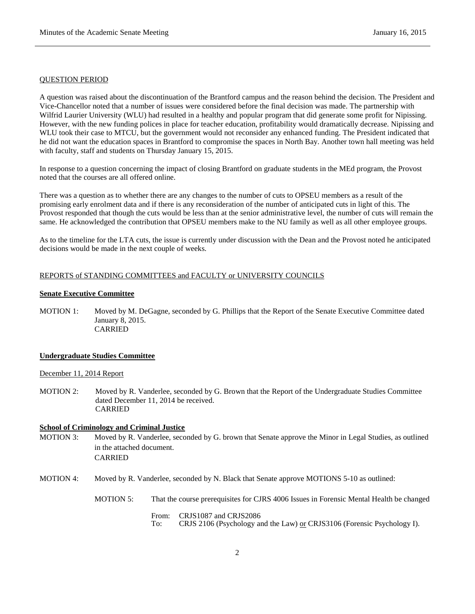#### QUESTION PERIOD

A question was raised about the discontinuation of the Brantford campus and the reason behind the decision. The President and Vice-Chancellor noted that a number of issues were considered before the final decision was made. The partnership with Wilfrid Laurier University (WLU) had resulted in a healthy and popular program that did generate some profit for Nipissing. However, with the new funding polices in place for teacher education, profitability would dramatically decrease. Nipissing and WLU took their case to MTCU, but the government would not reconsider any enhanced funding. The President indicated that he did not want the education spaces in Brantford to compromise the spaces in North Bay. Another town hall meeting was held with faculty, staff and students on Thursday January 15, 2015.

In response to a question concerning the impact of closing Brantford on graduate students in the MEd program, the Provost noted that the courses are all offered online.

There was a question as to whether there are any changes to the number of cuts to OPSEU members as a result of the promising early enrolment data and if there is any reconsideration of the number of anticipated cuts in light of this. The Provost responded that though the cuts would be less than at the senior administrative level, the number of cuts will remain the same. He acknowledged the contribution that OPSEU members make to the NU family as well as all other employee groups.

As to the timeline for the LTA cuts, the issue is currently under discussion with the Dean and the Provost noted he anticipated decisions would be made in the next couple of weeks.

### REPORTS of STANDING COMMITTEES and FACULTY or UNIVERSITY COUNCILS

### **Senate Executive Committee**

MOTION 1: Moved by M. DeGagne, seconded by G. Phillips that the Report of the Senate Executive Committee dated January 8, 2015. CARRIED

#### **Undergraduate Studies Committee**

#### December 11, 2014 Report

MOTION 2: Moved by R. Vanderlee, seconded by G. Brown that the Report of the Undergraduate Studies Committee dated December 11, 2014 be received. CARRIED

#### **School of Criminology and Criminal Justice**

- MOTION 3: Moved by R. Vanderlee, seconded by G. brown that Senate approve the Minor in Legal Studies, as outlined in the attached document. CARRIED
- MOTION 4: Moved by R. Vanderlee, seconded by N. Black that Senate approve MOTIONS 5-10 as outlined:
	- MOTION 5: That the course prerequisites for CJRS 4006 Issues in Forensic Mental Health be changed

From: CRJS1087 and CRJS2086<br>To: CRJS 2106 (Psychology and CRJS 2106 (Psychology and the Law) or CRJS3106 (Forensic Psychology I).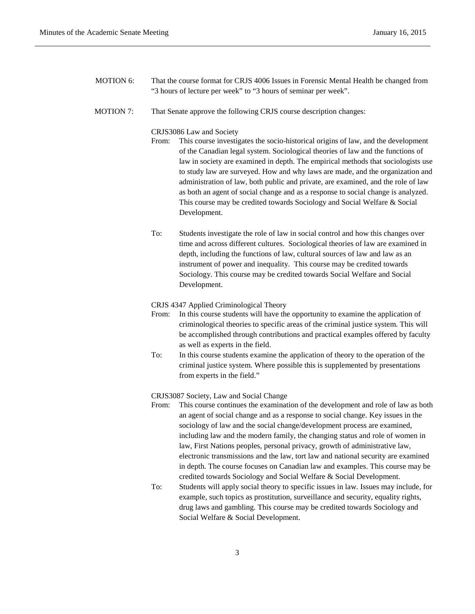- MOTION 6: That the course format for CRJS 4006 Issues in Forensic Mental Health be changed from "3 hours of lecture per week" to "3 hours of seminar per week".
- MOTION 7: That Senate approve the following CRJS course description changes:

### CRJS3086 Law and Society

- From: This course investigates the socio-historical origins of law, and the development of the Canadian legal system. Sociological theories of law and the functions of law in society are examined in depth. The empirical methods that sociologists use to study law are surveyed. How and why laws are made, and the organization and administration of law, both public and private, are examined, and the role of law as both an agent of social change and as a response to social change is analyzed. This course may be credited towards Sociology and Social Welfare & Social Development.
	- To: Students investigate the role of law in social control and how this changes over time and across different cultures. Sociological theories of law are examined in depth, including the functions of law, cultural sources of law and law as an instrument of power and inequality. This course may be credited towards Sociology. This course may be credited towards Social Welfare and Social Development.

#### CRJS 4347 Applied Criminological Theory

- From: In this course students will have the opportunity to examine the application of criminological theories to specific areas of the criminal justice system. This will be accomplished through contributions and practical examples offered by faculty as well as experts in the field.
- To: In this course students examine the application of theory to the operation of the criminal justice system. Where possible this is supplemented by presentations from experts in the field."

### CRJS3087 Society, Law and Social Change

- From: This course continues the examination of the development and role of law as both an agent of social change and as a response to social change. Key issues in the sociology of law and the social change/development process are examined, including law and the modern family, the changing status and role of women in law, First Nations peoples, personal privacy, growth of administrative law, electronic transmissions and the law, tort law and national security are examined in depth. The course focuses on Canadian law and examples. This course may be credited towards Sociology and Social Welfare & Social Development.
- To: Students will apply social theory to specific issues in law. Issues may include, for example, such topics as prostitution, surveillance and security, equality rights, drug laws and gambling. This course may be credited towards Sociology and Social Welfare & Social Development.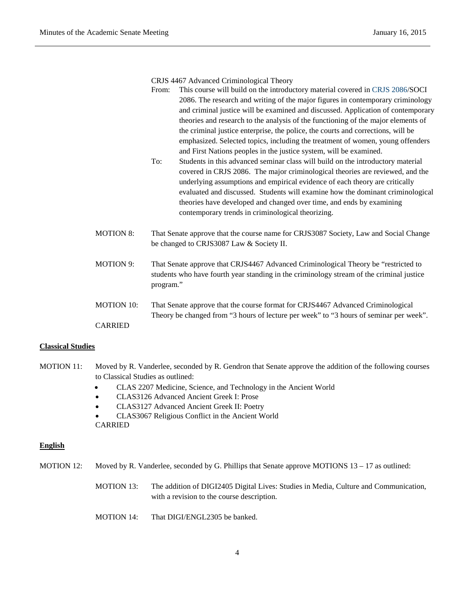### CRJS 4467 Advanced Criminological Theory

- From: This course will build on the introductory material covered in [CRJS 2086/](http://www.nipissingu.ca/calendar/Pages/Course.aspx?CourseName=CRJS-2086&back=%2fcalendar%2fPages%2fCourse.aspx)SOCI 2086. The research and writing of the major figures in contemporary criminology and criminal justice will be examined and discussed. Application of contemporary theories and research to the analysis of the functioning of the major elements of the criminal justice enterprise, the police, the courts and corrections, will be emphasized. Selected topics, including the treatment of women, young offenders and First Nations peoples in the justice system, will be examined.
- To: Students in this advanced seminar class will build on the introductory material covered in CRJS 2086. The major criminological theories are reviewed, and the underlying assumptions and empirical evidence of each theory are critically evaluated and discussed. Students will examine how the dominant criminological theories have developed and changed over time, and ends by examining contemporary trends in criminological theorizing.
- MOTION 8: That Senate approve that the course name for CRJS3087 Society, Law and Social Change be changed to CRJS3087 Law & Society II.
- MOTION 9: That Senate approve that CRJS4467 Advanced Criminological Theory be "restricted to students who have fourth year standing in the criminology stream of the criminal justice program."
- MOTION 10: That Senate approve that the course format for CRJS4467 Advanced Criminological Theory be changed from "3 hours of lecture per week" to "3 hours of seminar per week". CARRIED

### **Classical Studies**

- MOTION 11: Moved by R. Vanderlee, seconded by R. Gendron that Senate approve the addition of the following courses to Classical Studies as outlined:
	- CLAS 2207 Medicine, Science, and Technology in the Ancient World
	- CLAS3126 Advanced Ancient Greek I: Prose
	- CLAS3127 Advanced Ancient Greek II: Poetry
	- CLAS3067 Religious Conflict in the Ancient World CARRIED

#### **English**

- MOTION 12: Moved by R. Vanderlee, seconded by G. Phillips that Senate approve MOTIONS 13 17 as outlined:
	- MOTION 13: The addition of DIGI2405 Digital Lives: Studies in Media, Culture and Communication, with a revision to the course description.
	- MOTION 14: That DIGI/ENGL2305 be banked.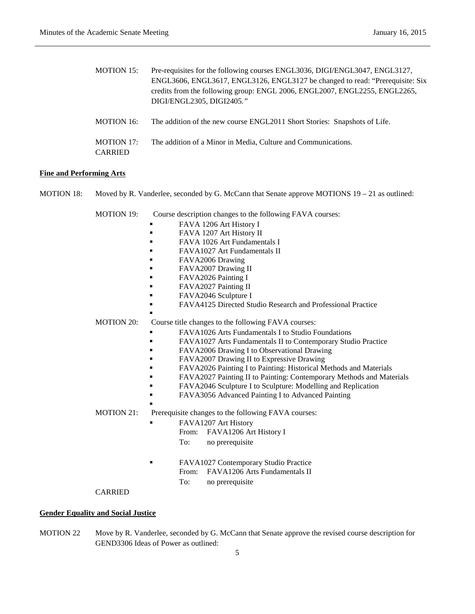| <b>MOTION 15:</b>            | Pre-requisites for the following courses ENGL3036, DIGI/ENGL3047, ENGL3127,<br>ENGL3606, ENGL3617, ENGL3126, ENGL3127 be changed to read: "Prerequisite: Six<br>credits from the following group: ENGL 2006, ENGL2007, ENGL2255, ENGL2265,<br>DIGI/ENGL2305, DIGI2405." |
|------------------------------|-------------------------------------------------------------------------------------------------------------------------------------------------------------------------------------------------------------------------------------------------------------------------|
| MOTION 16:                   | The addition of the new course ENGL2011 Short Stories: Snapshots of Life.                                                                                                                                                                                               |
| MOTION 17:<br><b>CARRIED</b> | The addition of a Minor in Media, Culture and Communications.                                                                                                                                                                                                           |

### **Fine and Performing Arts**

MOTION 18: Moved by R. Vanderlee, seconded by G. McCann that Senate approve MOTIONS 19 – 21 as outlined:

MOTION 19: Course description changes to the following FAVA courses:

- **FAVA 1206 Art History I** 
	- **FAVA 1207 Art History II**
	- **FAVA 1026 Art Fundamentals I**
	- FAVA1027 Art Fundamentals II
	- FAVA2006 Drawing
	- FAVA2007 Drawing II
	- FAVA2026 Painting I
	- FAVA2027 Painting II
	- FAVA2046 Sculpture I
	- FAVA4125 Directed Studio Research and Professional Practice

.

MOTION 20: Course title changes to the following FAVA courses:

- FAVA1026 Arts Fundamentals I to Studio Foundations
- FAVA1027 Arts Fundamentals II to Contemporary Studio Practice
- FAVA2006 Drawing I to Observational Drawing
- FAVA2007 Drawing II to Expressive Drawing
- FAVA2026 Painting I to Painting: Historical Methods and Materials
- FAVA2027 Painting II to Painting: Contemporary Methods and Materials
- FAVA2046 Sculpture I to Sculpture: Modelling and Replication
- FAVA3056 Advanced Painting I to Advanced Painting
- .

#### MOTION 21: Prerequisite changes to the following FAVA courses:

- FAVA1207 Art History From: FAVA1206 Art History I
	- To: no prerequisite
- FAVA1027 Contemporary Studio Practice From: FAVA1206 Arts Fundamentals II To: no prerequisite

# CARRIED

### **Gender Equality and Social Justice**

MOTION 22 Move by R. Vanderlee, seconded by G. McCann that Senate approve the revised course description for GEND3306 Ideas of Power as outlined: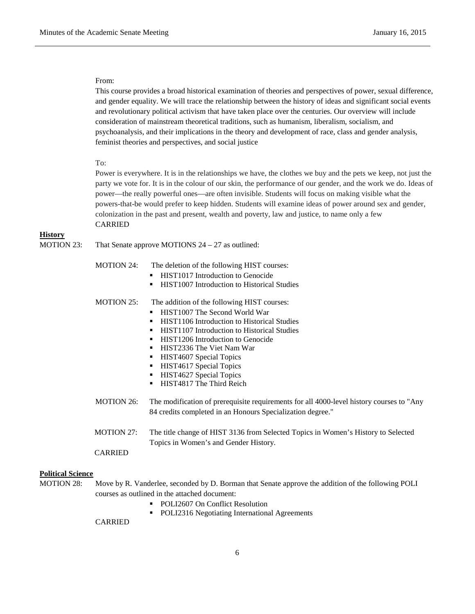#### From:

This course provides a broad historical examination of theories and perspectives of power, sexual difference, and gender equality. We will trace the relationship between the history of ideas and significant social events and revolutionary political activism that have taken place over the centuries. Our overview will include consideration of mainstream theoretical traditions, such as humanism, liberalism, socialism, and psychoanalysis, and their implications in the theory and development of race, class and gender analysis, feminist theories and perspectives, and social justice

### To:

Power is everywhere. It is in the relationships we have, the clothes we buy and the pets we keep, not just the party we vote for. It is in the colour of our skin, the performance of our gender, and the work we do. Ideas of power—the really powerful ones—are often invisible. Students will focus on making visible what the powers-that-be would prefer to keep hidden. Students will examine ideas of power around sex and gender, colonization in the past and present, wealth and poverty, law and justice, to name only a few CARRIED

## **History**

MOTION 23: That Senate approve MOTIONS 24 – 27 as outlined:

- MOTION 24: The deletion of the following HIST courses:
	- **HIST1017 Introduction to Genocide**
	- HIST1007 Introduction to Historical Studies
- MOTION 25: The addition of the following HIST courses:
	- **HIST1007** The Second World War
	- HIST1106 Introduction to Historical Studies
	- **HIST1107 Introduction to Historical Studies**
	- HIST1206 Introduction to Genocide<br>■ HIST2336 The Viet Nam War
	- HIST2336 The Viet Nam War
	- **HIST4607 Special Topics**
	- **HIST4617 Special Topics**
	- HIST4627 Special Topics
	- HIST4817 The Third Reich
- MOTION 26: The modification of prerequisite requirements for all 4000-level history courses to "Any 84 credits completed in an Honours Specialization degree."
- MOTION 27: The title change of HIST 3136 from Selected Topics in Women's History to Selected Topics in Women's and Gender History.

CARRIED

# **Political Science**

MOTION 28: Move by R. Vanderlee, seconded by D. Borman that Senate approve the addition of the following POLI courses as outlined in the attached document:

- POLI2607 On Conflict Resolution
	- POLI2316 Negotiating International Agreements

#### CARRIED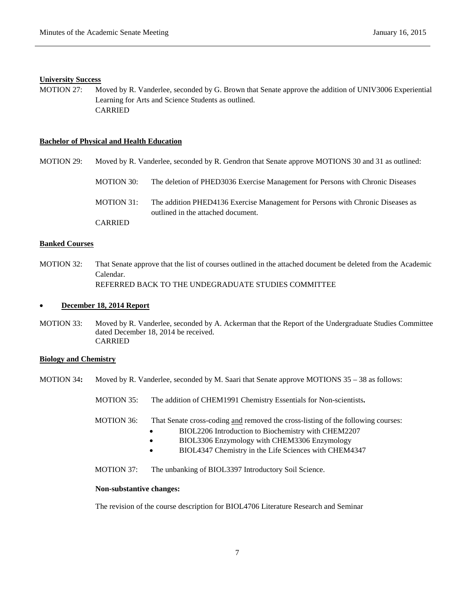### **University Success**

MOTION 27: Moved by R. Vanderlee, seconded by G. Brown that Senate approve the addition of UNIV3006 Experiential Learning for Arts and Science Students as outlined. CARRIED

#### **Bachelor of Physical and Health Education**

MOTION 29: Moved by R. Vanderlee, seconded by R. Gendron that Senate approve MOTIONS 30 and 31 as outlined:

MOTION 30: The deletion of PHED3036 Exercise Management for Persons with Chronic Diseases MOTION 31: The addition PHED4136 Exercise Management for Persons with Chronic Diseases as outlined in the attached document. CARRIED

### **Banked Courses**

MOTION 32: That Senate approve that the list of courses outlined in the attached document be deleted from the Academic Calendar. REFERRED BACK TO THE UNDEGRADUATE STUDIES COMMITTEE

#### • **December 18, 2014 Report**

MOTION 33: Moved by R. Vanderlee, seconded by A. Ackerman that the Report of the Undergraduate Studies Committee dated December 18, 2014 be received. CARRIED

## **Biology and Chemistry**

- MOTION 34**:** Moved by R. Vanderlee, seconded by M. Saari that Senate approve MOTIONS 35 38 as follows:
	- MOTION 35: The addition of CHEM1991 Chemistry Essentials for Non-scientists**.**

MOTION 36: That Senate cross-coding and removed the cross-listing of the following courses:

- BIOL2206 Introduction to Biochemistry with CHEM2207
- BIOL3306 Enzymology with CHEM3306 Enzymology
- BIOL4347 Chemistry in the Life Sciences with CHEM4347
- MOTION 37: The unbanking of BIOL3397 Introductory Soil Science.

#### **Non-substantive changes:**

The revision of the course description for BIOL4706 Literature Research and Seminar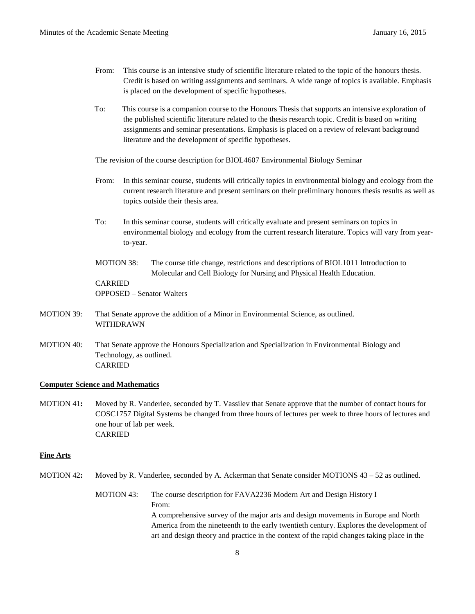- From: This course is an intensive study of scientific literature related to the topic of the honours thesis. Credit is based on writing assignments and seminars. A wide range of topics is available. Emphasis is placed on the development of specific hypotheses.
- To: This course is a companion course to the Honours Thesis that supports an intensive exploration of the published scientific literature related to the thesis research topic. Credit is based on writing assignments and seminar presentations. Emphasis is placed on a review of relevant background literature and the development of specific hypotheses.

The revision of the course description for BIOL4607 Environmental Biology Seminar

- From: In this seminar course, students will critically topics in environmental biology and ecology from the current research literature and present seminars on their preliminary honours thesis results as well as topics outside their thesis area.
- To: In this seminar course, students will critically evaluate and present seminars on topics in environmental biology and ecology from the current research literature. Topics will vary from yearto-year.
- MOTION 38: The course title change, restrictions and descriptions of BIOL1011 Introduction to Molecular and Cell Biology for Nursing and Physical Health Education. CARRIED

OPPOSED – Senator Walters

- MOTION 39: That Senate approve the addition of a Minor in Environmental Science, as outlined. WITHDRAWN
- MOTION 40: That Senate approve the Honours Specialization and Specialization in Environmental Biology and Technology, as outlined. CARRIED

#### **Computer Science and Mathematics**

MOTION 41**:** Moved by R. Vanderlee, seconded by T. Vassilev that Senate approve that the number of contact hours for COSC1757 Digital Systems be changed from three hours of lectures per week to three hours of lectures and one hour of lab per week. CARRIED

### **Fine Arts**

- MOTION 42**:** Moved by R. Vanderlee, seconded by A. Ackerman that Senate consider MOTIONS 43 52 as outlined.
	- MOTION 43: The course description for FAVA2236 Modern Art and Design History I From: A comprehensive survey of the major arts and design movements in Europe and North America from the nineteenth to the early twentieth century. Explores the development of art and design theory and practice in the context of the rapid changes taking place in the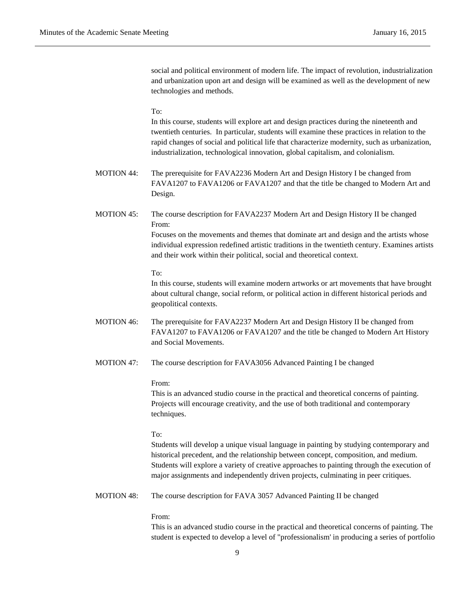social and political environment of modern life. The impact of revolution, industrialization and urbanization upon art and design will be examined as well as the development of new technologies and methods.

#### To:

In this course, students will explore art and design practices during the nineteenth and twentieth centuries. In particular, students will examine these practices in relation to the rapid changes of social and political life that characterize modernity, such as urbanization, industrialization, technological innovation, global capitalism, and colonialism.

MOTION 44: The prerequisite for FAVA2236 Modern Art and Design History I be changed from FAVA1207 to FAVA1206 or FAVA1207 and that the title be changed to Modern Art and Design.

## MOTION 45: The course description for FAVA2237 Modern Art and Design History II be changed From:

Focuses on the movements and themes that dominate art and design and the artists whose individual expression redefined artistic traditions in the twentieth century. Examines artists and their work within their political, social and theoretical context.

### To:

In this course, students will examine modern artworks or art movements that have brought about cultural change, social reform, or political action in different historical periods and geopolitical contexts.

- MOTION 46: The prerequisite for FAVA2237 Modern Art and Design History II be changed from FAVA1207 to FAVA1206 or FAVA1207 and the title be changed to Modern Art History and Social Movements.
- MOTION 47: The course description for FAVA3056 Advanced Painting I be changed

## From:

This is an advanced studio course in the practical and theoretical concerns of painting. Projects will encourage creativity, and the use of both traditional and contemporary techniques.

#### To:

Students will develop a unique visual language in painting by studying contemporary and historical precedent, and the relationship between concept, composition, and medium. Students will explore a variety of creative approaches to painting through the execution of major assignments and independently driven projects, culminating in peer critiques.

MOTION 48: The course description for FAVA 3057 Advanced Painting II be changed

### From:

This is an advanced studio course in the practical and theoretical concerns of painting. The student is expected to develop a level of "professionalism' in producing a series of portfolio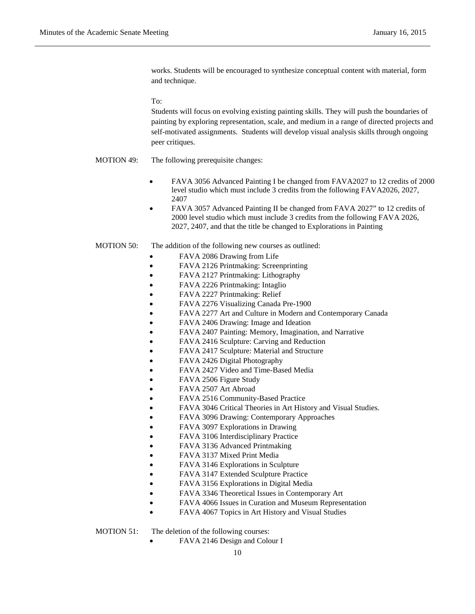works. Students will be encouraged to synthesize conceptual content with material, form and technique.

### To:

Students will focus on evolving existing painting skills. They will push the boundaries of painting by exploring representation, scale, and medium in a range of directed projects and self-motivated assignments. Students will develop visual analysis skills through ongoing peer critiques.

## MOTION 49: The following prerequisite changes:

- FAVA 3056 Advanced Painting I be changed from FAVA2027 to 12 credits of 2000 level studio which must include 3 credits from the following FAVA2026, 2027, 2407
- FAVA 3057 Advanced Painting II be changed from FAVA 2027" to 12 credits of 2000 level studio which must include 3 credits from the following FAVA 2026, 2027, 2407, and that the title be changed to Explorations in Painting

### MOTION 50: The addition of the following new courses as outlined:

- FAVA 2086 Drawing from Life
- FAVA 2126 Printmaking: Screenprinting
- FAVA 2127 Printmaking: Lithography
- FAVA 2226 Printmaking: Intaglio
- FAVA 2227 Printmaking: Relief
- FAVA 2276 Visualizing Canada Pre-1900
- FAVA 2277 Art and Culture in Modern and Contemporary Canada
- FAVA 2406 Drawing: Image and Ideation
- FAVA 2407 Painting: Memory, Imagination, and Narrative
- FAVA 2416 Sculpture: Carving and Reduction
- FAVA 2417 Sculpture: Material and Structure
- FAVA 2426 Digital Photography
- FAVA 2427 Video and Time-Based Media
- FAVA 2506 Figure Study
- FAVA 2507 Art Abroad
- FAVA 2516 Community-Based Practice
- FAVA 3046 Critical Theories in Art History and Visual Studies.
- FAVA 3096 Drawing: Contemporary Approaches
- FAVA 3097 Explorations in Drawing
- FAVA 3106 Interdisciplinary Practice
- FAVA 3136 Advanced Printmaking
- FAVA 3137 Mixed Print Media
- FAVA 3146 Explorations in Sculpture
- FAVA 3147 Extended Sculpture Practice
- FAVA 3156 Explorations in Digital Media
- FAVA 3346 Theoretical Issues in Contemporary Art
- FAVA 4066 Issues in Curation and Museum Representation
- FAVA 4067 Topics in Art History and Visual Studies

## MOTION 51: The deletion of the following courses:

FAVA 2146 Design and Colour I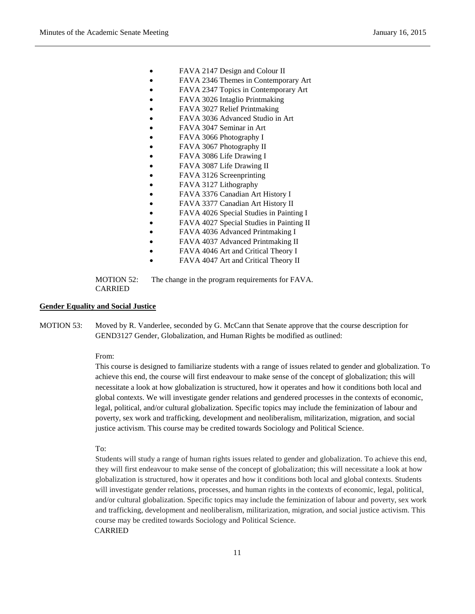- FAVA 2147 Design and Colour II
- FAVA 2346 Themes in Contemporary Art
- FAVA 2347 Topics in Contemporary Art
- FAVA 3026 Intaglio Printmaking
- FAVA 3027 Relief Printmaking
- FAVA 3036 Advanced Studio in Art
- FAVA 3047 Seminar in Art
- FAVA 3066 Photography I
- FAVA 3067 Photography II
- FAVA 3086 Life Drawing I
- FAVA 3087 Life Drawing II
- FAVA 3126 Screenprinting
- FAVA 3127 Lithography
- FAVA 3376 Canadian Art History I
- FAVA 3377 Canadian Art History II
- FAVA 4026 Special Studies in Painting I
- FAVA 4027 Special Studies in Painting II
- FAVA 4036 Advanced Printmaking I
- FAVA 4037 Advanced Printmaking II
- FAVA 4046 Art and Critical Theory I
- FAVA 4047 Art and Critical Theory II

MOTION 52: The change in the program requirements for FAVA. CARRIED

#### **Gender Equality and Social Justice**

MOTION 53: Moved by R. Vanderlee, seconded by G. McCann that Senate approve that the course description for GEND3127 Gender, Globalization, and Human Rights be modified as outlined:

### From:

This course is designed to familiarize students with a range of issues related to gender and globalization. To achieve this end, the course will first endeavour to make sense of the concept of globalization; this will necessitate a look at how globalization is structured, how it operates and how it conditions both local and global contexts. We will investigate gender relations and gendered processes in the contexts of economic, legal, political, and/or cultural globalization. Specific topics may include the feminization of labour and poverty, sex work and trafficking, development and neoliberalism, militarization, migration, and social justice activism. This course may be credited towards Sociology and Political Science.

#### To:

Students will study a range of human rights issues related to gender and globalization. To achieve this end, they will first endeavour to make sense of the concept of globalization; this will necessitate a look at how globalization is structured, how it operates and how it conditions both local and global contexts. Students will investigate gender relations, processes, and human rights in the contexts of economic, legal, political, and/or cultural globalization. Specific topics may include the feminization of labour and poverty, sex work and trafficking, development and neoliberalism, militarization, migration, and social justice activism. This course may be credited towards Sociology and Political Science.

### CARRIED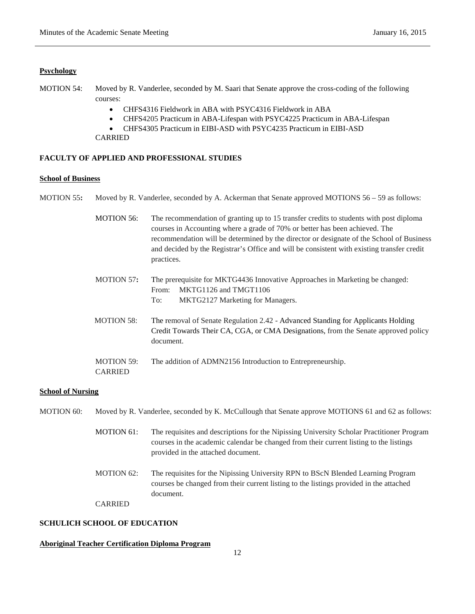### **Psychology**

- MOTION 54: Moved by R. Vanderlee, seconded by M. Saari that Senate approve the cross-coding of the following courses:
	- CHFS4316 Fieldwork in ABA with PSYC4316 Fieldwork in ABA
	- CHFS4205 Practicum in ABA-Lifespan with PSYC4225 Practicum in ABA-Lifespan
	- CHFS4305 Practicum in EIBI-ASD with PSYC4235 Practicum in EIBI-ASD

CARRIED

## **FACULTY OF APPLIED AND PROFESSIONAL STUDIES**

### **School of Business**

MOTION 55**:** Moved by R. Vanderlee, seconded by A. Ackerman that Senate approved MOTIONS 56 – 59 as follows:

MOTION 56: The recommendation of granting up to 15 transfer credits to students with post diploma courses in Accounting where a grade of 70% or better has been achieved. The recommendation will be determined by the director or designate of the School of Business and decided by the Registrar's Office and will be consistent with existing transfer credit practices.

- MOTION 57**:** The prerequisite for MKTG4436 Innovative Approaches in Marketing be changed: From: MKTG1126 and TMGT1106 To: MKTG2127 Marketing for Managers.
- MOTION 58: The removal of Senate Regulation 2.42 Advanced Standing for Applicants Holding Credit Towards Their CA, CGA, or CMA Designations, from the Senate approved policy document.

MOTION 59: The addition of ADMN2156 Introduction to Entrepreneurship. CARRIED

### **School of Nursing**

MOTION 60: Moved by R. Vanderlee, seconded by K. McCullough that Senate approve MOTIONS 61 and 62 as follows:

- MOTION 61: The requisites and descriptions for the Nipissing University Scholar Practitioner Program courses in the academic calendar be changed from their current listing to the listings provided in the attached document.
- MOTION 62: The requisites for the Nipissing University RPN to BScN Blended Learning Program courses be changed from their current listing to the listings provided in the attached document.
- CARRIED

## **SCHULICH SCHOOL OF EDUCATION**

### **Aboriginal Teacher Certification Diploma Program**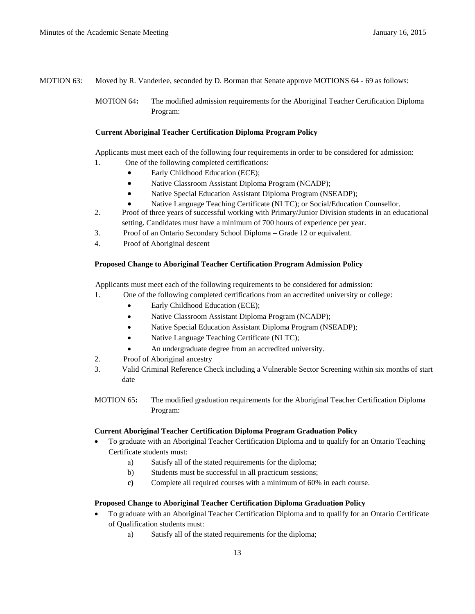MOTION 63: Moved by R. Vanderlee, seconded by D. Borman that Senate approve MOTIONS 64 - 69 as follows:

MOTION 64**:** The modified admission requirements for the Aboriginal Teacher Certification Diploma Program:

## **Current Aboriginal Teacher Certification Diploma Program Policy**

Applicants must meet each of the following four requirements in order to be considered for admission: 1. One of the following completed certifications:

- Early Childhood Education (ECE);
- Native Classroom Assistant Diploma Program (NCADP);
- Native Special Education Assistant Diploma Program (NSEADP);
- Native Language Teaching Certificate (NLTC); or Social/Education Counsellor.
- 2. Proof of three years of successful working with Primary/Junior Division students in an educational setting. Candidates must have a minimum of 700 hours of experience per year.
- 3. Proof of an Ontario Secondary School Diploma Grade 12 or equivalent.
- 4. Proof of Aboriginal descent

## **Proposed Change to Aboriginal Teacher Certification Program Admission Policy**

Applicants must meet each of the following requirements to be considered for admission:

- 1. One of the following completed certifications from an accredited university or college:
	- Early Childhood Education (ECE);
	- Native Classroom Assistant Diploma Program (NCADP);
	- Native Special Education Assistant Diploma Program (NSEADP);
	- Native Language Teaching Certificate (NLTC);
	- An undergraduate degree from an accredited university.
- 2. Proof of Aboriginal ancestry
- 3. Valid Criminal Reference Check including a Vulnerable Sector Screening within six months of start date
- MOTION 65**:** The modified graduation requirements for the Aboriginal Teacher Certification Diploma Program:

## **Current Aboriginal Teacher Certification Diploma Program Graduation Policy**

- To graduate with an Aboriginal Teacher Certification Diploma and to qualify for an Ontario Teaching Certificate students must:
	- a) Satisfy all of the stated requirements for the diploma;
	- b) Students must be successful in all practicum sessions;
	- **c)** Complete all required courses with a minimum of 60% in each course.

### **Proposed Change to Aboriginal Teacher Certification Diploma Graduation Policy**

- To graduate with an Aboriginal Teacher Certification Diploma and to qualify for an Ontario Certificate of Qualification students must:
	- a) Satisfy all of the stated requirements for the diploma;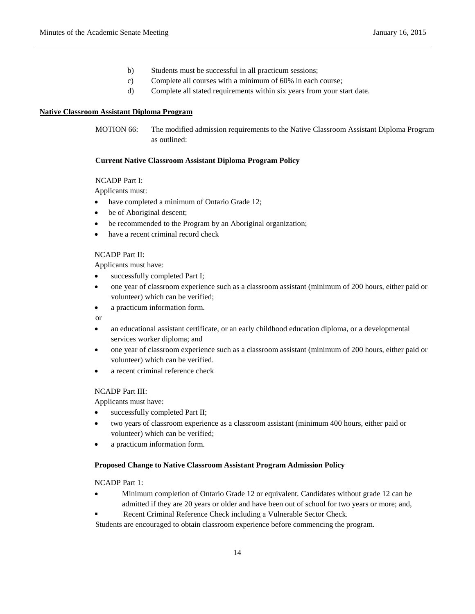- b) Students must be successful in all practicum sessions;
- c) Complete all courses with a minimum of 60% in each course;
- d) Complete all stated requirements within six years from your start date.

#### **Native Classroom Assistant Diploma Program**

MOTION 66: The modified admission requirements to the Native Classroom Assistant Diploma Program as outlined:

### **Current Native Classroom Assistant Diploma Program Policy**

# NCADP Part I:

Applicants must:

- have completed a minimum of Ontario Grade 12;
- be of Aboriginal descent;
- be recommended to the Program by an Aboriginal organization;
- have a recent criminal record check

## NCADP Part II:

Applicants must have:

- successfully completed Part I;
- one year of classroom experience such as a classroom assistant (minimum of 200 hours, either paid or volunteer) which can be verified;
- a practicum information form.

or

- an educational assistant certificate, or an early childhood education diploma, or a developmental services worker diploma; and
- one year of classroom experience such as a classroom assistant (minimum of 200 hours, either paid or volunteer) which can be verified.
- a recent criminal reference check

# NCADP Part III:

Applicants must have:

- successfully completed Part II;
- two years of classroom experience as a classroom assistant (minimum 400 hours, either paid or volunteer) which can be verified;
- a practicum information form.

## **Proposed Change to Native Classroom Assistant Program Admission Policy**

NCADP Part 1:

- Minimum completion of Ontario Grade 12 or equivalent. Candidates without grade 12 can be admitted if they are 20 years or older and have been out of school for two years or more; and,
- Recent Criminal Reference Check including a Vulnerable Sector Check.

Students are encouraged to obtain classroom experience before commencing the program.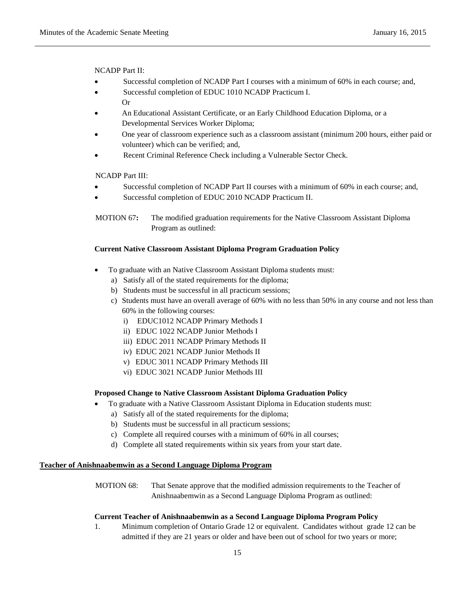NCADP Part II:

- Successful completion of NCADP Part I courses with a minimum of 60% in each course; and,
- Successful completion of EDUC 1010 NCADP Practicum I. Or
- An Educational Assistant Certificate, or an Early Childhood Education Diploma, or a Developmental Services Worker Diploma;
- One year of classroom experience such as a classroom assistant (minimum 200 hours, either paid or volunteer) which can be verified; and,
- Recent Criminal Reference Check including a Vulnerable Sector Check.

NCADP Part III:

- Successful completion of NCADP Part II courses with a minimum of 60% in each course; and,
- Successful completion of EDUC 2010 NCADP Practicum II.

MOTION 67**:** The modified graduation requirements for the Native Classroom Assistant Diploma Program as outlined:

### **Current Native Classroom Assistant Diploma Program Graduation Policy**

- To graduate with an Native Classroom Assistant Diploma students must:
	- a) Satisfy all of the stated requirements for the diploma;
	- b) Students must be successful in all practicum sessions;
	- c) Students must have an overall average of 60% with no less than 50% in any course and not less than 60% in the following courses:
		- i) EDUC1012 NCADP Primary Methods I
		- ii) EDUC 1022 NCADP Junior Methods I
		- iii) EDUC 2011 NCADP Primary Methods II
		- iv) EDUC 2021 NCADP Junior Methods II
		- v) EDUC 3011 NCADP Primary Methods III
		- vi) EDUC 3021 NCADP Junior Methods III

#### **Proposed Change to Native Classroom Assistant Diploma Graduation Policy**

- To graduate with a Native Classroom Assistant Diploma in Education students must:
	- a) Satisfy all of the stated requirements for the diploma;
	- b) Students must be successful in all practicum sessions;
	- c) Complete all required courses with a minimum of 60% in all courses;
	- d) Complete all stated requirements within six years from your start date.

## **Teacher of Anishnaabemwin as a Second Language Diploma Program**

MOTION 68: That Senate approve that the modified admission requirements to the Teacher of Anishnaabemwin as a Second Language Diploma Program as outlined:

## **Current Teacher of Anishnaabemwin as a Second Language Diploma Program Policy**

1. Minimum completion of Ontario Grade 12 or equivalent. Candidates without grade 12 can be admitted if they are 21 years or older and have been out of school for two years or more;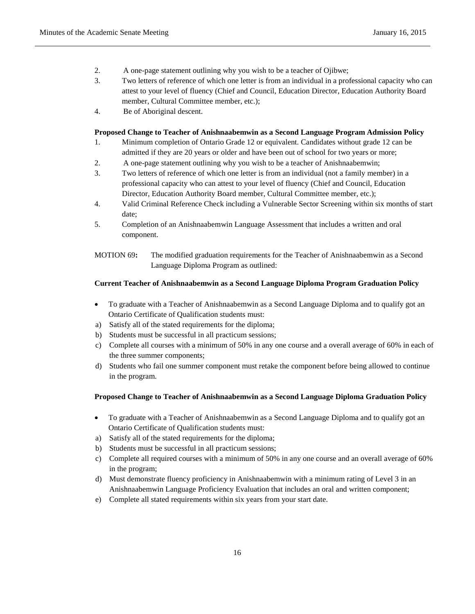- 2. A one-page statement outlining why you wish to be a teacher of Ojibwe;
- 3. Two letters of reference of which one letter is from an individual in a professional capacity who can attest to your level of fluency (Chief and Council, Education Director, Education Authority Board member, Cultural Committee member, etc.);
- 4. Be of Aboriginal descent.

## **Proposed Change to Teacher of Anishnaabemwin as a Second Language Program Admission Policy**

- 1. Minimum completion of Ontario Grade 12 or equivalent. Candidates without grade 12 can be admitted if they are 20 years or older and have been out of school for two years or more;
- 2. A one-page statement outlining why you wish to be a teacher of Anishnaabemwin;
- 3. Two letters of reference of which one letter is from an individual (not a family member) in a professional capacity who can attest to your level of fluency (Chief and Council, Education Director, Education Authority Board member, Cultural Committee member, etc.);
- 4. Valid Criminal Reference Check including a Vulnerable Sector Screening within six months of start date;
- 5. Completion of an Anishnaabemwin Language Assessment that includes a written and oral component.

MOTION 69**:** The modified graduation requirements for the Teacher of Anishnaabemwin as a Second Language Diploma Program as outlined:

### **Current Teacher of Anishnaabemwin as a Second Language Diploma Program Graduation Policy**

- To graduate with a Teacher of Anishnaabemwin as a Second Language Diploma and to qualify got an Ontario Certificate of Qualification students must:
- a) Satisfy all of the stated requirements for the diploma;
- b) Students must be successful in all practicum sessions;
- c) Complete all courses with a minimum of 50% in any one course and a overall average of 60% in each of the three summer components;
- d) Students who fail one summer component must retake the component before being allowed to continue in the program.

### **Proposed Change to Teacher of Anishnaabemwin as a Second Language Diploma Graduation Policy**

- To graduate with a Teacher of Anishnaabemwin as a Second Language Diploma and to qualify got an Ontario Certificate of Qualification students must:
- a) Satisfy all of the stated requirements for the diploma;
- b) Students must be successful in all practicum sessions;
- c) Complete all required courses with a minimum of 50% in any one course and an overall average of 60% in the program;
- d) Must demonstrate fluency proficiency in Anishnaabemwin with a minimum rating of Level 3 in an Anishnaabemwin Language Proficiency Evaluation that includes an oral and written component;
- e) Complete all stated requirements within six years from your start date.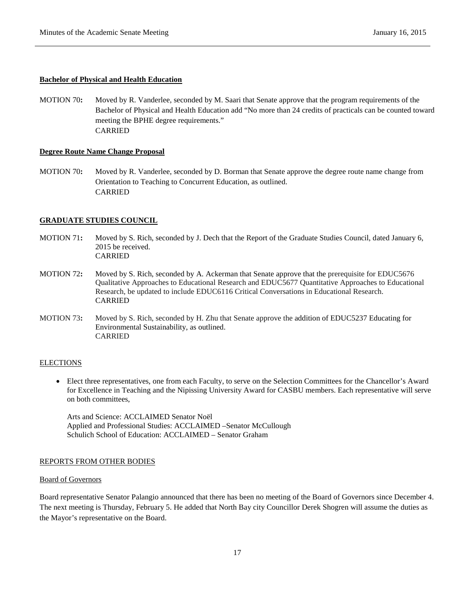#### **Bachelor of Physical and Health Education**

MOTION 70**:** Moved by R. Vanderlee, seconded by M. Saari that Senate approve that the program requirements of the Bachelor of Physical and Health Education add "No more than 24 credits of practicals can be counted toward meeting the BPHE degree requirements." CARRIED

#### **Degree Route Name Change Proposal**

MOTION 70**:** Moved by R. Vanderlee, seconded by D. Borman that Senate approve the degree route name change from Orientation to Teaching to Concurrent Education, as outlined. CARRIED

#### **GRADUATE STUDIES COUNCIL**

- MOTION 71**:** Moved by S. Rich, seconded by J. Dech that the Report of the Graduate Studies Council, dated January 6, 2015 be received. CARRIED
- MOTION 72**:** Moved by S. Rich, seconded by A. Ackerman that Senate approve that the prerequisite for EDUC5676 Qualitative Approaches to Educational Research and EDUC5677 Quantitative Approaches to Educational Research, be updated to include EDUC6116 Critical Conversations in Educational Research. CARRIED
- MOTION 73**:** Moved by S. Rich, seconded by H. Zhu that Senate approve the addition of EDUC5237 Educating for Environmental Sustainability, as outlined. CARRIED

## **ELECTIONS**

• Elect three representatives, one from each Faculty, to serve on the Selection Committees for the Chancellor's Award for Excellence in Teaching and the Nipissing University Award for CASBU members. Each representative will serve on both committees,

Arts and Science: ACCLAIMED Senator Noël Applied and Professional Studies: ACCLAIMED –Senator McCullough Schulich School of Education: ACCLAIMED – Senator Graham

### REPORTS FROM OTHER BODIES

#### Board of Governors

Board representative Senator Palangio announced that there has been no meeting of the Board of Governors since December 4. The next meeting is Thursday, February 5. He added that North Bay city Councillor Derek Shogren will assume the duties as the Mayor's representative on the Board.